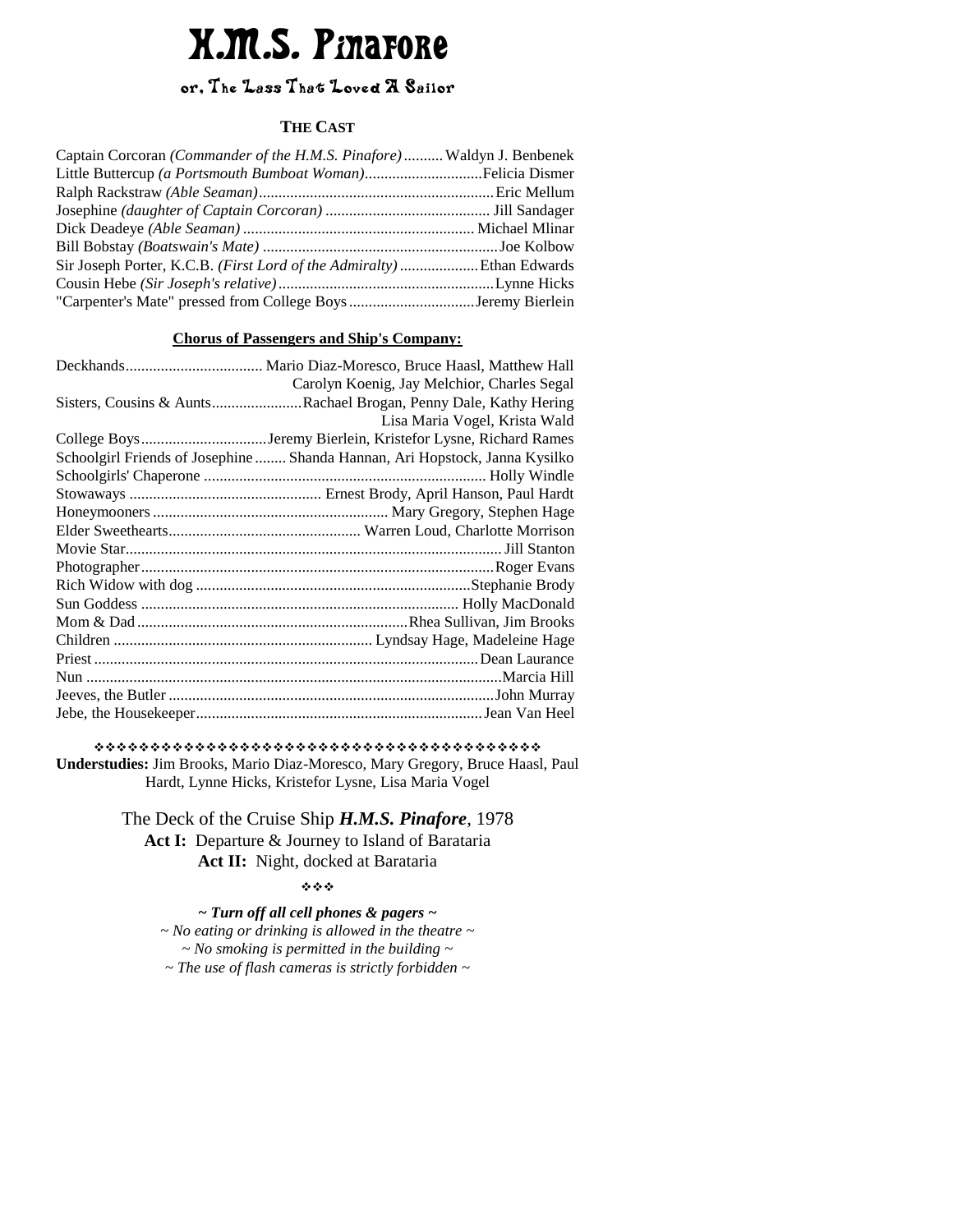# **X.M.S. Pinarore**

# or, The Lass That Loved A Sailor

#### **THE CAST**

| Captain Corcoran (Commander of the H.M.S. Pinafore) Waldyn J. Benbenek |  |
|------------------------------------------------------------------------|--|
|                                                                        |  |
|                                                                        |  |
|                                                                        |  |
|                                                                        |  |
|                                                                        |  |
| Sir Joseph Porter, K.C.B. (First Lord of the Admiralty) Ethan Edwards  |  |
|                                                                        |  |
|                                                                        |  |

#### **Chorus of Passengers and Ship's Company:**

| Carolyn Koenig, Jay Melchior, Charles Segal                                 |
|-----------------------------------------------------------------------------|
| Sisters, Cousins & AuntsRachael Brogan, Penny Dale, Kathy Hering            |
| Lisa Maria Vogel, Krista Wald                                               |
| College BoysJeremy Bierlein, Kristefor Lysne, Richard Rames                 |
| Schoolgirl Friends of Josephine  Shanda Hannan, Ari Hopstock, Janna Kysilko |
|                                                                             |
|                                                                             |
|                                                                             |
|                                                                             |
|                                                                             |
|                                                                             |
|                                                                             |
|                                                                             |
|                                                                             |
|                                                                             |
|                                                                             |
|                                                                             |
|                                                                             |
|                                                                             |
|                                                                             |

 **Understudies:** Jim Brooks, Mario Diaz-Moresco, Mary Gregory, Bruce Haasl, Paul Hardt, Lynne Hicks, Kristefor Lysne, Lisa Maria Vogel

> The Deck of the Cruise Ship *H.M.S. Pinafore*, 1978 Act I: Departure & Journey to Island of Barataria Act II: Night, docked at Barataria

> > \*\*\*

*~ Turn off all cell phones & pagers ~ ~ No eating or drinking is allowed in the theatre ~ ~ No smoking is permitted in the building ~ ~ The use of flash cameras is strictly forbidden ~*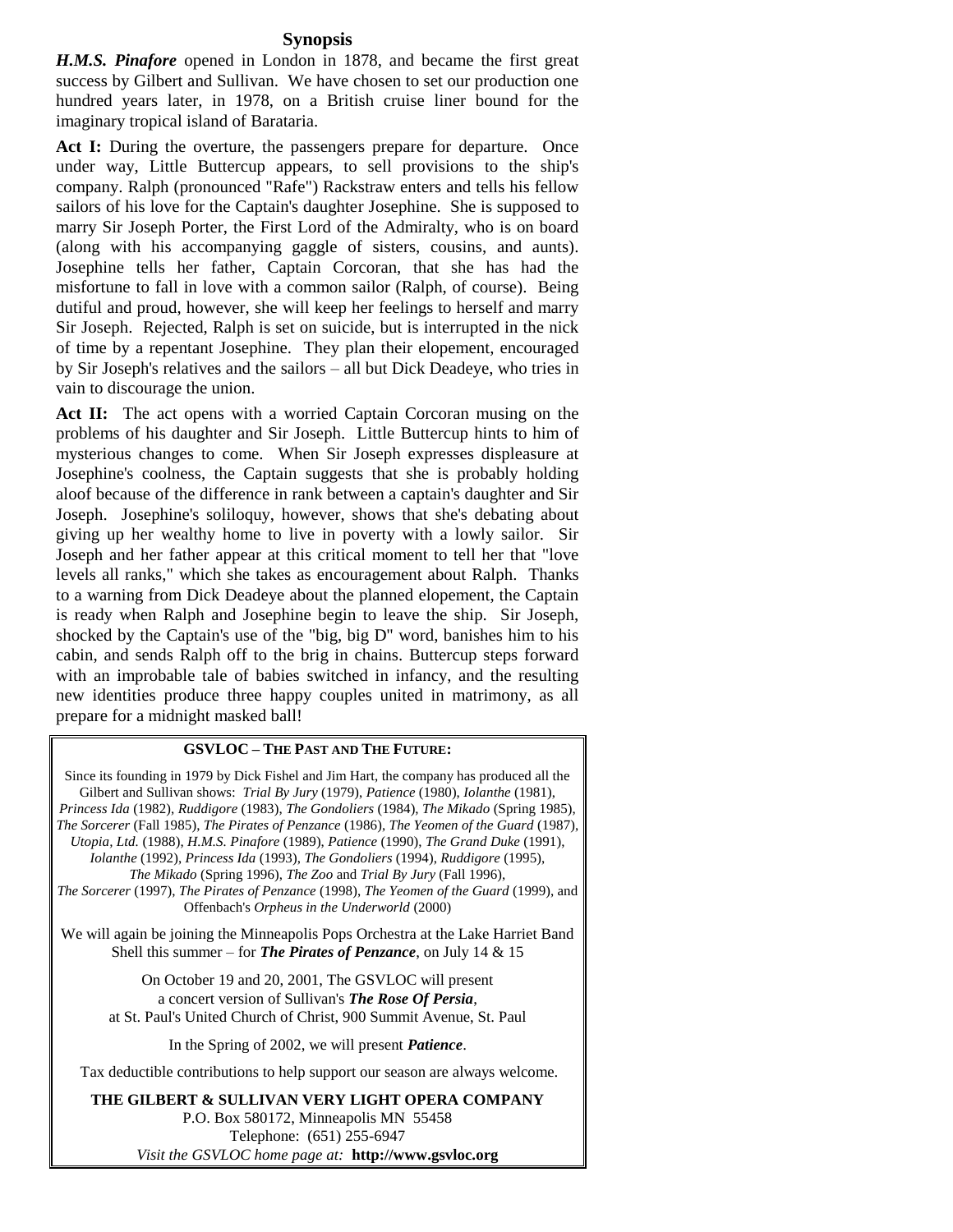#### **Synopsis**

*H.M.S. Pinafore* opened in London in 1878, and became the first great success by Gilbert and Sullivan. We have chosen to set our production one hundred years later, in 1978, on a British cruise liner bound for the imaginary tropical island of Barataria.

Act I: During the overture, the passengers prepare for departure. Once under way, Little Buttercup appears, to sell provisions to the ship's company. Ralph (pronounced "Rafe") Rackstraw enters and tells his fellow sailors of his love for the Captain's daughter Josephine. She is supposed to marry Sir Joseph Porter, the First Lord of the Admiralty, who is on board (along with his accompanying gaggle of sisters, cousins, and aunts). Josephine tells her father, Captain Corcoran, that she has had the misfortune to fall in love with a common sailor (Ralph, of course). Being dutiful and proud, however, she will keep her feelings to herself and marry Sir Joseph. Rejected, Ralph is set on suicide, but is interrupted in the nick of time by a repentant Josephine. They plan their elopement, encouraged by Sir Joseph's relatives and the sailors – all but Dick Deadeye, who tries in vain to discourage the union.

Act II: The act opens with a worried Captain Corcoran musing on the problems of his daughter and Sir Joseph. Little Buttercup hints to him of mysterious changes to come. When Sir Joseph expresses displeasure at Josephine's coolness, the Captain suggests that she is probably holding aloof because of the difference in rank between a captain's daughter and Sir Joseph. Josephine's soliloquy, however, shows that she's debating about giving up her wealthy home to live in poverty with a lowly sailor. Sir Joseph and her father appear at this critical moment to tell her that "love levels all ranks," which she takes as encouragement about Ralph. Thanks to a warning from Dick Deadeye about the planned elopement, the Captain is ready when Ralph and Josephine begin to leave the ship. Sir Joseph, shocked by the Captain's use of the "big, big D" word, banishes him to his cabin, and sends Ralph off to the brig in chains. Buttercup steps forward with an improbable tale of babies switched in infancy, and the resulting new identities produce three happy couples united in matrimony, as all prepare for a midnight masked ball!

#### **GSVLOC – THE PAST AND THE FUTURE:**

Since its founding in 1979 by Dick Fishel and Jim Hart, the company has produced all the Gilbert and Sullivan shows: *Trial By Jury* (1979), *Patience* (1980), *Iolanthe* (1981), *Princess Ida* (1982), *Ruddigore* (1983), *The Gondoliers* (1984), *The Mikado* (Spring 1985), *The Sorcerer* (Fall 1985), *The Pirates of Penzance* (1986), *The Yeomen of the Guard* (1987), *Utopia, Ltd.* (1988), *H.M.S. Pinafore* (1989), *Patience* (1990), *The Grand Duke* (1991), *Iolanthe* (1992), *Princess Ida* (1993), *The Gondoliers* (1994), *Ruddigore* (1995), *The Mikado* (Spring 1996), *The Zoo* and *Trial By Jury* (Fall 1996), *The Sorcerer* (1997), *The Pirates of Penzance* (1998), *The Yeomen of the Guard* (1999), and Offenbach's *Orpheus in the Underworld* (2000)

We will again be joining the Minneapolis Pops Orchestra at the Lake Harriet Band Shell this summer – for *The Pirates of Penzance*, on July 14 & 15

On October 19 and 20, 2001, The GSVLOC will present a concert version of Sullivan's *The Rose Of Persia*, at St. Paul's United Church of Christ, 900 Summit Avenue, St. Paul

In the Spring of 2002, we will present *Patience*.

Tax deductible contributions to help support our season are always welcome.

**THE GILBERT & SULLIVAN VERY LIGHT OPERA COMPANY**  P.O. Box 580172, Minneapolis MN 55458 Telephone: (651) 255-6947 *Visit the GSVLOC home page at:* **http://www.gsvloc.org**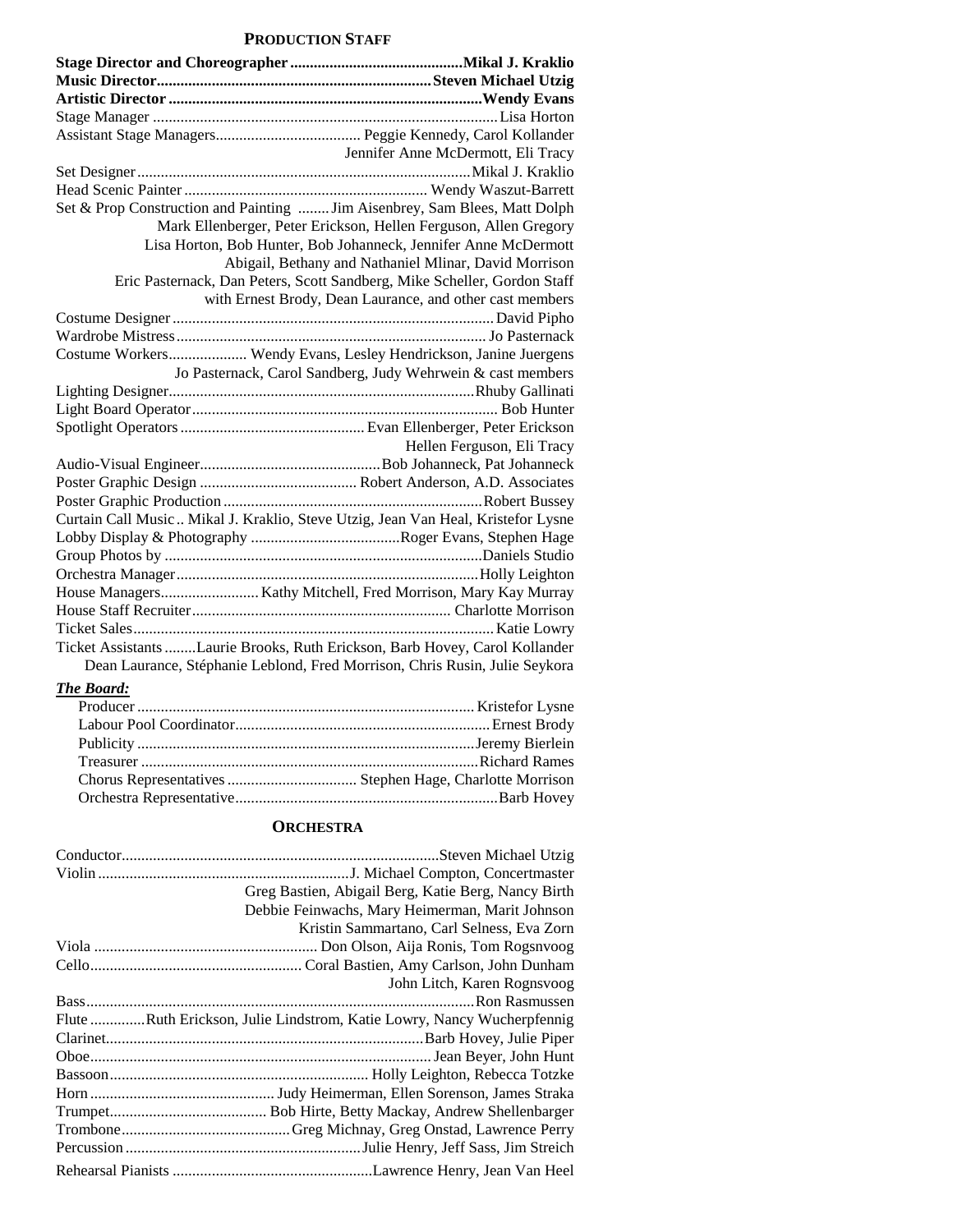#### **PRODUCTION STAFF**

| Jennifer Anne McDermott, Eli Tracy                                                |
|-----------------------------------------------------------------------------------|
|                                                                                   |
|                                                                                   |
| Set & Prop Construction and Painting  Jim Aisenbrey, Sam Blees, Matt Dolph        |
| Mark Ellenberger, Peter Erickson, Hellen Ferguson, Allen Gregory                  |
| Lisa Horton, Bob Hunter, Bob Johanneck, Jennifer Anne McDermott                   |
| Abigail, Bethany and Nathaniel Mlinar, David Morrison                             |
| Eric Pasternack, Dan Peters, Scott Sandberg, Mike Scheller, Gordon Staff          |
| with Ernest Brody, Dean Laurance, and other cast members                          |
|                                                                                   |
|                                                                                   |
| Costume Workers Wendy Evans, Lesley Hendrickson, Janine Juergens                  |
| Jo Pasternack, Carol Sandberg, Judy Wehrwein & cast members                       |
|                                                                                   |
|                                                                                   |
|                                                                                   |
| Hellen Ferguson, Eli Tracy                                                        |
|                                                                                   |
|                                                                                   |
|                                                                                   |
| Curtain Call Music  Mikal J. Kraklio, Steve Utzig, Jean Van Heal, Kristefor Lysne |
|                                                                                   |
|                                                                                   |
|                                                                                   |
|                                                                                   |
|                                                                                   |
|                                                                                   |
| Ticket Assistants Laurie Brooks, Ruth Erickson, Barb Hovey, Carol Kollander       |
| Dean Laurance, Stéphanie Leblond, Fred Morrison, Chris Rusin, Julie Seykora       |

#### *The Board:*

#### **ORCHESTRA**

| Greg Bastien, Abigail Berg, Katie Berg, Nancy Birth                    |
|------------------------------------------------------------------------|
| Debbie Feinwachs, Mary Heimerman, Marit Johnson                        |
| Kristin Sammartano, Carl Selness, Eva Zorn                             |
|                                                                        |
|                                                                        |
| John Litch, Karen Rognsvoog                                            |
|                                                                        |
| Flute Ruth Erickson, Julie Lindstrom, Katie Lowry, Nancy Wucherpfennig |
|                                                                        |
|                                                                        |
|                                                                        |
|                                                                        |
|                                                                        |
|                                                                        |
|                                                                        |
|                                                                        |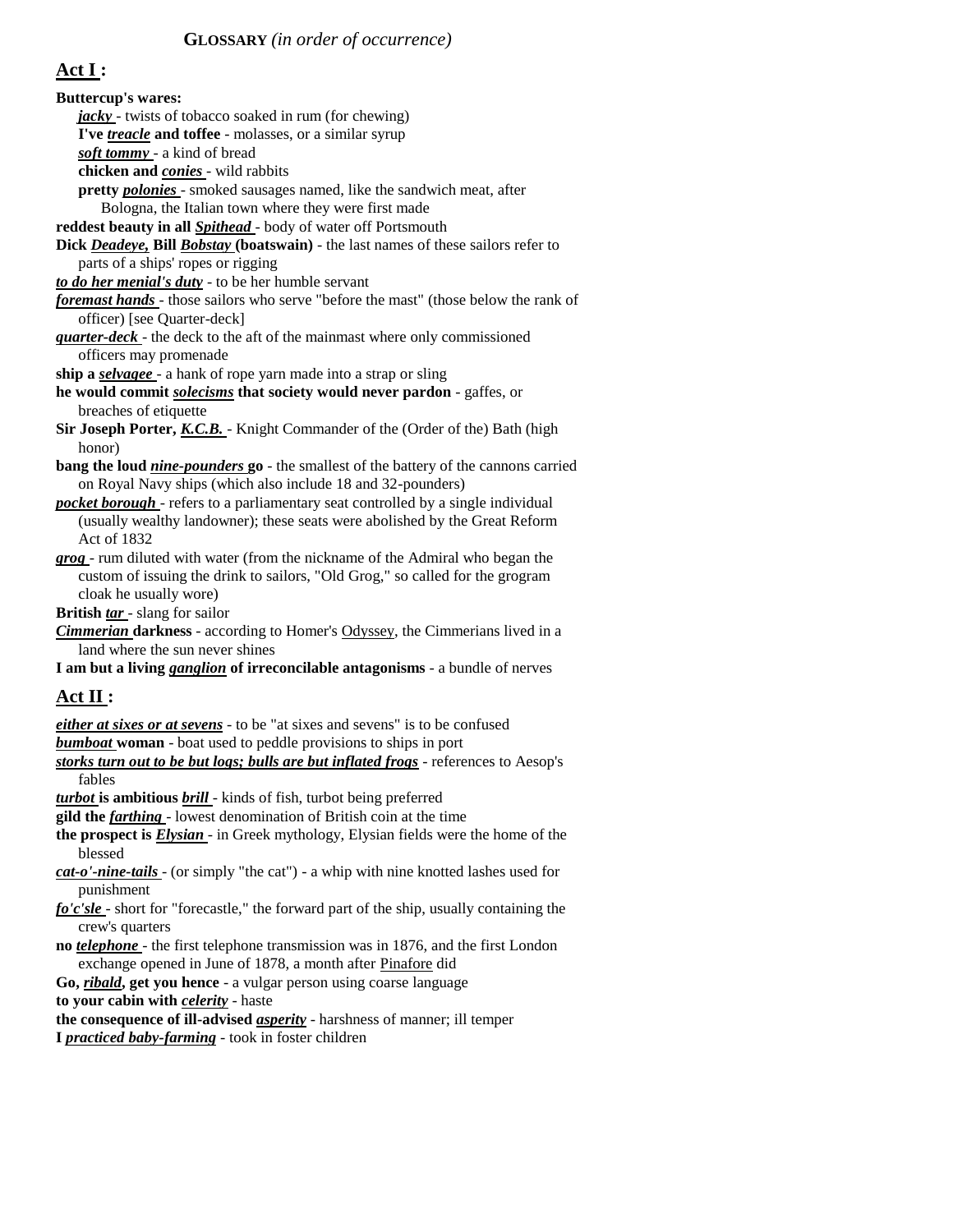## **Act I :**

**Buttercup's wares:**  *jacky* - twists of tobacco soaked in rum (for chewing) **I've** *treacle* **and toffee** - molasses, or a similar syrup *soft tommy* - a kind of bread **chicken and** *conies* - wild rabbits **pretty** *polonies* - smoked sausages named, like the sandwich meat, after Bologna, the Italian town where they were first made **reddest beauty in all** *Spithead* - body of water off Portsmouth **Dick** *Deadeye,* **Bill** *Bobstay* **(boatswain)** - the last names of these sailors refer to parts of a ships' ropes or rigging *to do her menial's duty* - to be her humble servant *foremast hands* - those sailors who serve "before the mast" (those below the rank of officer) [see Quarter-deck] *quarter-deck* - the deck to the aft of the mainmast where only commissioned officers may promenade **ship a** *selvagee* - a hank of rope yarn made into a strap or sling **he would commit** *solecisms* **that society would never pardon** - gaffes, or breaches of etiquette **Sir Joseph Porter,** *K.C.B.* - Knight Commander of the (Order of the) Bath (high honor) **bang the loud** *nine-pounders* **go** - the smallest of the battery of the cannons carried on Royal Navy ships (which also include 18 and 32-pounders) *pocket borough* - refers to a parliamentary seat controlled by a single individual (usually wealthy landowner); these seats were abolished by the Great Reform Act of 1832 *grog* - rum diluted with water (from the nickname of the Admiral who began the custom of issuing the drink to sailors, "Old Grog," so called for the grogram cloak he usually wore) **British** *tar* - slang for sailor *Cimmerian* **darkness** - according to Homer's Odyssey, the Cimmerians lived in a land where the sun never shines **I am but a living** *ganglion* **of irreconcilable antagonisms** - a bundle of nerves **Act II :**  *either at sixes or at sevens* - to be "at sixes and sevens" is to be confused *bumboat* **woman** - boat used to peddle provisions to ships in port *storks turn out to be but logs; bulls are but inflated frogs* - references to Aesop's fables *turbot* **is ambitious** *brill* - kinds of fish, turbot being preferred **gild the** *farthing* - lowest denomination of British coin at the time **the prospect is** *Elysian* - in Greek mythology, Elysian fields were the home of the blessed *cat-o'-nine-tails* - (or simply "the cat") - a whip with nine knotted lashes used for punishment

- *fo'c'sle*  short for "forecastle," the forward part of the ship, usually containing the crew's quarters
- **no** *telephone*  the first telephone transmission was in 1876, and the first London exchange opened in June of 1878, a month after Pinafore did

**Go,** *ribald***, get you hence** - a vulgar person using coarse language

**to your cabin with** *celerity* - haste

**the consequence of ill-advised** *asperity* - harshness of manner; ill temper

**I** *practiced baby-farming* - took in foster children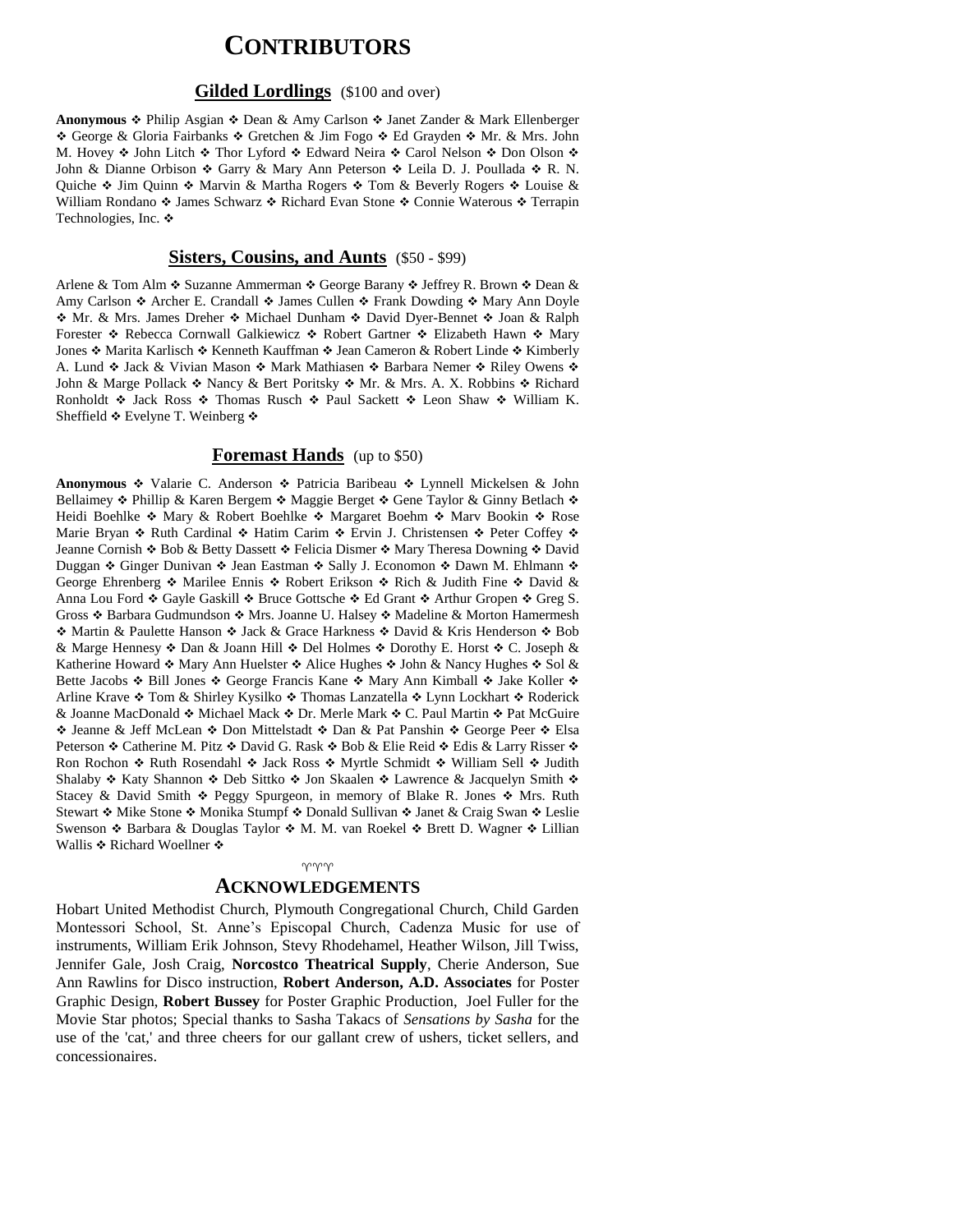# **CONTRIBUTORS**

#### **Gilded Lordlings** (\$100 and over)

Anonymous  $\div$  Philip Asgian  $\div$  Dean & Amy Carlson  $\div$  Janet Zander & Mark Ellenberger \* George & Gloria Fairbanks \* Gretchen & Jim Fogo \* Ed Grayden \* Mr. & Mrs. John M. Hovey  $\triangleleft$  John Litch  $\triangleleft$  Thor Lyford  $\triangleleft$  Edward Neira  $\triangleleft$  Carol Nelson  $\triangleleft$  Don Olson  $\triangleleft$ John & Dianne Orbison  $\triangleleft$  Garry & Mary Ann Peterson  $\triangleleft$  Leila D. J. Poullada  $\triangleleft$  R. N. Quiche  $\div$  Jim Quinn  $\div$  Marvin & Martha Rogers  $\div$  Tom & Beverly Rogers  $\div$  Louise & William Rondano  $\cdot$  James Schwarz  $\cdot \cdot$  Richard Evan Stone  $\cdot \cdot$  Connie Waterous  $\cdot \cdot$  Terrapin Technologies, Inc. ❖

#### **Sisters, Cousins, and Aunts** (\$50 - \$99)

Arlene & Tom Alm  $\triangle$  Suzanne Ammerman  $\triangle$  George Barany  $\triangle$  Jeffrey R. Brown  $\triangle$  Dean & Amy Carlson  $\triangle$  Archer E. Crandall  $\triangle$  James Cullen  $\triangle$  Frank Dowding  $\triangle$  Mary Ann Doyle \* Mr. & Mrs. James Dreher \* Michael Dunham \* David Dyer-Bennet \* Joan & Ralph Forester  $\div$  Rebecca Cornwall Galkiewicz  $\div$  Robert Gartner  $\div$  Elizabeth Hawn  $\div$  Mary Jones  $\div$  Marita Karlisch  $\div$  Kenneth Kauffman  $\div$  Jean Cameron & Robert Linde  $\div$  Kimberly A. Lund  $\cdot$  Jack & Vivian Mason  $\cdot$  Mark Mathiasen  $\cdot$  Barbara Nemer  $\cdot$  Riley Owens  $\cdot$ John & Marge Pollack  $\triangle$  Nancy & Bert Poritsky  $\triangle$  Mr. & Mrs. A. X. Robbins  $\triangle$  Richard Ronholdt  $\div$  Jack Ross  $\div$  Thomas Rusch  $\div$  Paul Sackett  $\div$  Leon Shaw  $\div$  William K. Sheffield ❖ Evelyne T. Weinberg ❖

#### **Foremast Hands** (up to \$50)

Anonymous  $\cdot$  Valarie C. Anderson  $\cdot$  Patricia Baribeau  $\cdot$  Lynnell Mickelsen & John Bellaimey  $\div$  Phillip & Karen Bergem  $\div$  Maggie Berget  $\div$  Gene Taylor & Ginny Betlach  $\div$ Heidi Boehlke ❖ Mary & Robert Boehlke ❖ Margaret Boehm ❖ Marv Bookin ❖ Rose Marie Bryan  $\cdot$  Ruth Cardinal  $\cdot$  Hatim Carim  $\cdot$  Ervin J. Christensen  $\cdot$  Peter Coffey  $\cdot$ Jeanne Cornish ❖ Bob & Betty Dassett ❖ Felicia Dismer ❖ Mary Theresa Downing ❖ David Duggan Ginger Dunivan Jean Eastman Sally J. Economon Dawn M. Ehlmann George Ehrenberg  $\cdot$  Marilee Ennis  $\cdot$  Robert Erikson  $\cdot$  Rich & Judith Fine  $\cdot$  David & Anna Lou Ford  $\div$  Gayle Gaskill  $\div$  Bruce Gottsche  $\div$  Ed Grant  $\div$  Arthur Gropen  $\div$  Greg S. Gross  $\div$  Barbara Gudmundson  $\div$  Mrs. Joanne U. Halsey  $\div$  Madeline & Morton Hamermesh ◆ Martin & Paulette Hanson ◆ Jack & Grace Harkness ◆ David & Kris Henderson ◆ Bob & Marge Hennesy  $\triangle$  Dan & Joann Hill  $\triangle$  Del Holmes  $\triangle$  Dorothy E. Horst  $\triangle$  C. Joseph & Katherine Howard  $\cdot$  Mary Ann Huelster  $\cdot$  Alice Hughes  $\cdot$  John & Nancy Hughes  $\cdot$  Sol & Bette Jacobs  $\div$  Bill Jones  $\div$  George Francis Kane  $\div$  Mary Ann Kimball  $\div$  Jake Koller  $\div$ Arline Krave ❖ Tom & Shirley Kysilko ❖ Thomas Lanzatella ❖ Lynn Lockhart ❖ Roderick & Joanne MacDonald  $\div$  Michael Mack  $\div$  Dr. Merle Mark  $\div$  C. Paul Martin  $\div$  Pat McGuire ◆ Jeanne & Jeff McLean ◆ Don Mittelstadt ◆ Dan & Pat Panshin ◆ George Peer ◆ Elsa Peterson  $\triangle$  Catherine M. Pitz  $\triangle$  David G. Rask  $\triangle$  Bob & Elie Reid  $\triangle$  Edis & Larry Risser  $\triangle$ Ron Rochon ❖ Ruth Rosendahl ❖ Jack Ross ❖ Myrtle Schmidt ❖ William Sell ❖ Judith Shalaby  $\div$  Katy Shannon  $\div$  Deb Sittko  $\div$  Jon Skaalen  $\div$  Lawrence & Jacquelyn Smith  $\div$ Stacey & David Smith  $\div$  Peggy Spurgeon, in memory of Blake R. Jones  $\div$  Mrs. Ruth Stewart  $\div$  Mike Stone  $\div$  Monika Stumpf  $\div$  Donald Sullivan  $\div$  Janet & Craig Swan  $\div$  Leslie Swenson  $\triangle$  Barbara & Douglas Taylor  $\triangle$  M. M. van Roekel  $\triangle$  Brett D. Wagner  $\triangle$  Lillian Wallis ❖ Richard Woellner ❖

# $\gamma \gamma \gamma$

### **ACKNOWLEDGEMENTS**

Hobart United Methodist Church, Plymouth Congregational Church, Child Garden Montessori School, St. Anne's Episcopal Church, Cadenza Music for use of instruments, William Erik Johnson, Stevy Rhodehamel, Heather Wilson, Jill Twiss, Jennifer Gale, Josh Craig, **Norcostco Theatrical Supply**, Cherie Anderson, Sue Ann Rawlins for Disco instruction, **Robert Anderson, A.D. Associates** for Poster Graphic Design, **Robert Bussey** for Poster Graphic Production, Joel Fuller for the Movie Star photos; Special thanks to Sasha Takacs of *Sensations by Sasha* for the use of the 'cat,' and three cheers for our gallant crew of ushers, ticket sellers, and concessionaires.